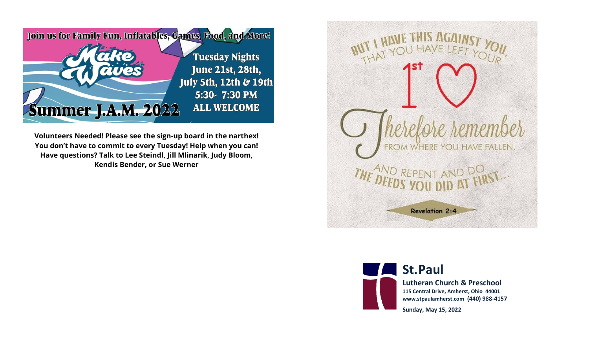

**Volunteers Needed! Please see the sign-up board in the narthex! You don't have to commit to every Tuesday! Help when you can! Have questions? Talk to Lee Steindl, Jill Mlinarik, Judy Bloom, Kendis Bender, or Sue Werner**

WHERE YOU HAVE FALLEN, **Revelation 2:4** 



**St.Paul** 

**Lutheran Church & Preschool 115 Central Drive, Amherst, Ohio 44001 www.stpaulamherst.com (440) 988-4157**

**Sunday, May 15, 2022**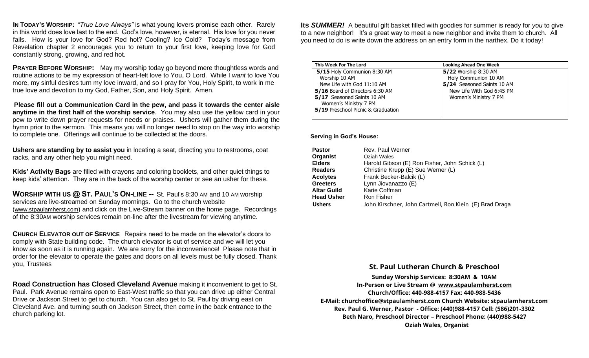**IN TODAY'S WORSHIP:** *"True Love Always"* is what young lovers promise each other. Rarely in this world does love last to the end. God's love, however, is eternal. His love for you never fails. How is your love for God? Red hot? Cooling? Ice Cold? Today's message from Revelation chapter 2 encourages you to return to your first love, keeping love for God constantly strong, growing, and red hot.

**PRAYER BEFORE WORSHIP:** May my worship today go beyond mere thoughtless words and routine actions to be my expression of heart-felt love to You, O Lord. While I *want* to love You more, my sinful desires turn my love inward, and so I pray for You, Holy Spirit, to work in me true love and devotion to my God, Father, Son, and Holy Spirit. Amen.

**Please fill out a Communication Card in the pew, and pass it towards the center aisle anytime in the first half of the worship service**. You may also use the yellow card in your pew to write down prayer requests for needs or praises. Ushers will gather them during the hymn prior to the sermon. This means you will no longer need to stop on the way into worship to complete one. Offerings will continue to be collected at the doors.

**Ushers are standing by to assist you** in locating a seat, directing you to restrooms, coat racks, and any other help you might need.

**Kids' Activity Bags** are filled with crayons and coloring booklets, and other quiet things to keep kids' attention. They are in the back of the worship center or see an usher for these.

**WORSHIP WITH US @ ST. PAUL'S ON-LINE --** St. Paul's 8:30 AM and 10 AM worship services are live-streamed on Sunday mornings. Go to the church website (www.stpaulamherst.com) and click on the Live-Stream banner on the home page. Recordings of the 8:30AM worship services remain on-line after the livestream for viewing anytime.

**CHURCH ELEVATOR OUT OF SERVICE** Repairs need to be made on the elevator's doors to comply with State building code. The church elevator is out of service and we will let you know as soon as it is running again. We are sorry for the inconvenience! Please note that in order for the elevator to operate the gates and doors on all levels must be fully closed. Thank you, Trustees

**Road Construction has Closed Cleveland Avenue** making it inconvenient to get to St. Paul. Park Avenue remains open to East-West traffic so that you can drive up either Central Drive or Jackson Street to get to church. You can also get to St. Paul by driving east on Cleveland Ave. and turning south on Jackson Street, then come in the back entrance to the church parking lot.

**Its** *SUMMER!* A beautiful gift basket filled with goodies for summer is ready for *you* to give to a new neighbor! It's a great way to meet a new neighbor and invite them to church. All you need to do is write down the address on an entry form in the narthex. Do it today!

| This Week For The Lord             | <b>Looking Ahead One Week</b> |
|------------------------------------|-------------------------------|
| 5/15 Holy Communion 8:30 AM        | 5/22 Worship 8:30 AM          |
| Worship 10 AM                      | Holy Communion 10 AM          |
| New Life with God 11:10 AM         | 5/24 Seasoned Saints 10 AM    |
| 5/16 Board of Directors 6:30 AM    | New Life With God 6:45 PM     |
| 5/17 Seasoned Saints 10 AM         | Women's Ministry 7 PM         |
| Women's Ministry 7 PM              |                               |
| 5/19 Preschool Picnic & Graduation |                               |
|                                    |                               |

 **Serving in God's House:**

| <b>Pastor</b>      | Rev. Paul Werner                                        |
|--------------------|---------------------------------------------------------|
| Organist           | Oziah Wales                                             |
| <b>Elders</b>      | Harold Gibson (E) Ron Fisher, John Schick (L)           |
| <b>Readers</b>     | Christine Krupp (E) Sue Werner (L)                      |
| <b>Acolytes</b>    | Frank Becker-Balcik (L)                                 |
| <b>Greeters</b>    | Lynn Jiovanazzo (E)                                     |
| <b>Altar Guild</b> | Karie Coffman                                           |
| <b>Head Usher</b>  | Ron Fisher                                              |
| <b>Ushers</b>      | John Kirschner, John Cartmell, Ron Klein (E) Brad Draga |

## **St. Paul Lutheran Church & Preschool**

**Sunday Worship Services: 8:30**AM **& 10**AM **In-Person or Live Stream** @ [www.stpaulamherst.com](http://www.stpaulamherst.com/) **Church/Office: 440-988-4157 Fax: 440-988-5436 E-Mail: churchoffice@stpaulamherst.com Church Website: stpaulamherst.com Rev. Paul G. Werner, Pastor - Office: (440)988-4157 Cell: (586)201-3302 Beth Naro, Preschool Director – Preschool Phone: (440)988-5427 Oziah Wales, Organist**